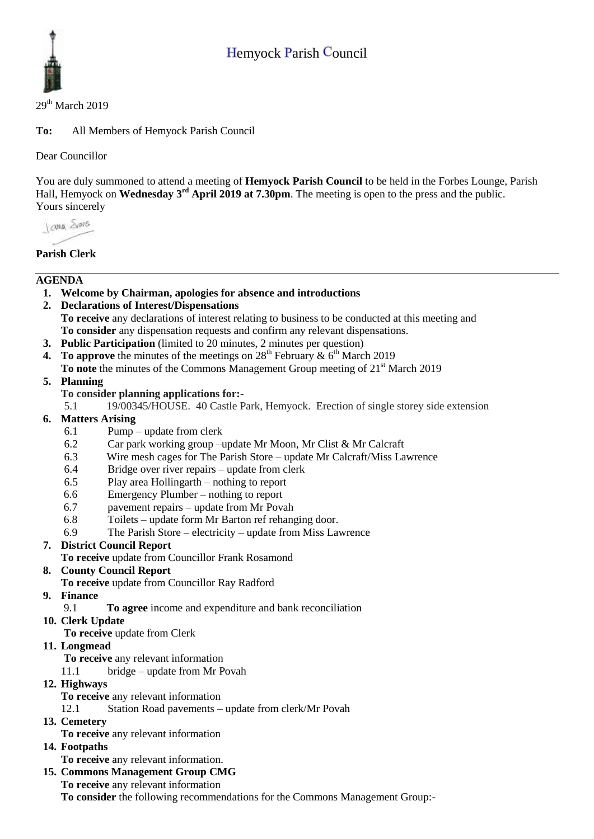# Hemyock Parish Council



### $29<sup>th</sup>$  March 2019

**To:** All Members of Hemyock Parish Council

Dear Councillor

You are duly summoned to attend a meeting of **Hemyock Parish Council** to be held in the Forbes Lounge, Parish Hall, Hemyock on **Wednesday 3<sup>rd</sup> April 2019 at 7.30pm**. The meeting is open to the press and the public. Yours sincerely

I awa Shans

# **Parish Clerk**

# **AGENDA**

- **1. Welcome by Chairman, apologies for absence and introductions**
- **2. Declarations of Interest/Dispensations To receive** any declarations of interest relating to business to be conducted at this meeting and **To consider** any dispensation requests and confirm any relevant dispensations.
- **3. Public Participation** (limited to 20 minutes, 2 minutes per question)
- **4.** To approve the minutes of the meetings on  $28<sup>th</sup>$  February  $\& 6<sup>th</sup>$  March 2019
- **To note** the minutes of the Commons Management Group meeting of 21<sup>st</sup> March 2019
- **5. Planning**
	- **To consider planning applications for:-**
	- 5.1 19/00345/HOUSE. 40 Castle Park, Hemyock. Erection of single storey side extension
- **6. Matters Arising**
	- 6.1 Pump update from clerk
	- 6.2 Car park working group –update Mr Moon, Mr Clist & Mr Calcraft
	- 6.3 Wire mesh cages for The Parish Store update Mr Calcraft/Miss Lawrence
	- 6.4 Bridge over river repairs update from clerk
	- 6.5 Play area Hollingarth nothing to report
	- 6.6 Emergency Plumber nothing to report
	- 6.7 pavement repairs update from Mr Povah
	- 6.8 Toilets update form Mr Barton ref rehanging door.
	- 6.9 The Parish Store electricity update from Miss Lawrence

# **7. District Council Report**

**To receive** update from Councillor Frank Rosamond

# **8. County Council Report**

- **To receive** update from Councillor Ray Radford
- **9. Finance** 
	- 9.1 **To agree** income and expenditure and bank reconciliation
- **10. Clerk Update**

**To receive** update from Clerk

# **11. Longmead**

- **To receive** any relevant information
- 11.1 bridge update from Mr Povah
- **12. Highways** 
	- **To receive** any relevant information
	- 12.1 Station Road pavements update from clerk/Mr Povah
- **13. Cemetery** 
	- **To receive** any relevant information

# **14. Footpaths**

**To receive** any relevant information.

# **15. Commons Management Group CMG**

**To receive** any relevant information

**To consider** the following recommendations for the Commons Management Group:-